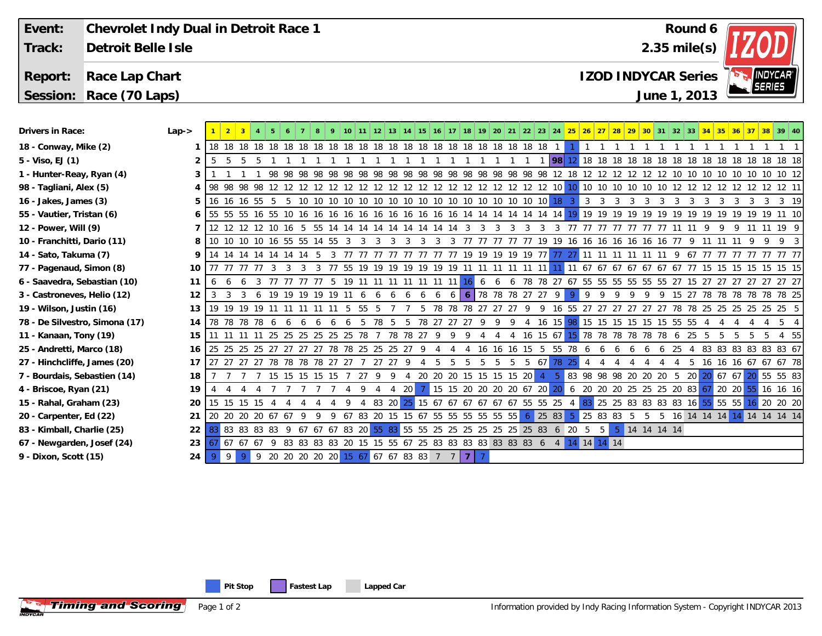| Event:                    | Chevrolet Indy Dual in Detroit Race 1 |           |                    |  |     |     |  |     |     |     |     |     |            |    |    |    |     |    |    |          |           |       |  |                                                                             |                            |                 | Round 6 |  |               |                             |  |
|---------------------------|---------------------------------------|-----------|--------------------|--|-----|-----|--|-----|-----|-----|-----|-----|------------|----|----|----|-----|----|----|----------|-----------|-------|--|-----------------------------------------------------------------------------|----------------------------|-----------------|---------|--|---------------|-----------------------------|--|
| Track:                    | Detroit Belle Isle                    |           |                    |  |     |     |  |     |     |     |     |     |            |    |    |    |     |    |    |          |           |       |  |                                                                             | $2.35$ mile(s)             |                 |         |  |               |                             |  |
| Report:                   | Race Lap Chart                        |           |                    |  |     |     |  |     |     |     |     |     |            |    |    |    |     |    |    |          |           |       |  |                                                                             | <b>IZOD INDYCAR Series</b> |                 |         |  | <b>SERIES</b> | <b>INDYCAR</b> <sup>®</sup> |  |
|                           | Session: Race (70 Laps)               |           |                    |  |     |     |  |     |     |     |     |     |            |    |    |    |     |    |    |          |           |       |  |                                                                             | June 1, 2013               |                 |         |  |               |                             |  |
|                           |                                       |           |                    |  |     |     |  |     |     |     |     |     |            |    |    |    |     |    |    |          |           |       |  |                                                                             |                            |                 |         |  |               |                             |  |
| Drivers in Race:          |                                       | $Lap - >$ |                    |  |     |     |  |     |     |     |     |     |            |    |    |    |     |    |    |          |           |       |  | 19   20   21   22   23   24 <mark>  25   26   27   28   29   30  </mark> 31 | 32                         | 33 <sup>1</sup> |         |  |               |                             |  |
| 18 - Conway, Mike (2)     |                                       |           |                    |  |     |     |  |     |     |     |     |     |            |    | 18 | 18 |     |    |    |          |           |       |  |                                                                             |                            |                 |         |  |               |                             |  |
| 5 - Viso, EJ (1)          |                                       |           |                    |  |     |     |  |     |     |     |     |     |            |    |    |    |     |    |    |          | <b>98</b> |       |  |                                                                             |                            |                 |         |  |               | 18 18                       |  |
| 1 - Hunter-Reay, Ryan (4) |                                       |           |                    |  | 98. | 98. |  | 98. | -98 | -98 | -98 | 98. | 98.<br>-98 | 98 | 98 | 98 | -98 | 98 | 98 | 98       |           |       |  |                                                                             |                            |                 |         |  |               | 10 12                       |  |
| 98 - Tagliani, Alex (5)   |                                       |           | 4   98 98 98 98 12 |  |     |     |  |     |     |     |     |     |            |    |    |    |     |    |    | 12 12 10 |           | 10 10 |  |                                                                             |                            |                 |         |  |               |                             |  |

- **16 Jakes, James (3)**
- **55 Vautier, Tristan (6)**
- **12 Power, Will (9)**
- **10 Franchitti, Dario (11)**
- **14 Sato, Takuma (7)**
- **77 Pagenaud, Simon (8)**
- **6 Saavedra, Sebastian (10)**
- **3 Castroneves, Helio (12)**
- **19 Wilson, Justin (16)**
- **78 De Silvestro, Simona (17)**
- **11 Kanaan, Tony (19)**
- **25 Andretti, Marco (18)**
- **27 Hinchcliffe, James (20)**
- **7 Bourdais, Sebastien (14)**
- **4 Briscoe, Ryan (21)**
- **15 Rahal, Graham (23)**
- **20 Carpenter, Ed (22)**
- **83 Kimball, Charlie (25)**
- **67 Newgarden, Josef (24)**

**Timing and Scoring** 

**9 - Dixon, Scott (15)**

| 6            | 155 55 55 |          |             |       |          |       |             |       |     |       |          | 16 55 10 16 16 16 16 16 16 16 16 16 16 16 14 14 14 14 14 14 14 |       |                 |     |              |     |      |       |     |                               |       |                |                                                        |                |                                      |          |                               |     |             |      |       |      |     |          |                            |       |                | 11 10 |    |
|--------------|-----------|----------|-------------|-------|----------|-------|-------------|-------|-----|-------|----------|----------------------------------------------------------------|-------|-----------------|-----|--------------|-----|------|-------|-----|-------------------------------|-------|----------------|--------------------------------------------------------|----------------|--------------------------------------|----------|-------------------------------|-----|-------------|------|-------|------|-----|----------|----------------------------|-------|----------------|-------|----|
| 7            |           |          |             |       |          |       |             |       |     |       |          |                                                                |       |                 |     |              |     |      |       |     |                               |       |                |                                                        |                |                                      |          |                               |     |             |      |       |      |     |          |                            |       |                |       |    |
| 8            |           | 10 10 10 |             | 10    | 16 55 55 |       |             | 14 55 |     |       |          |                                                                |       |                 |     |              |     |      |       |     |                               | 77    | 19             | 19                                                     |                | 16 16 16 16 16                       |          |                               |     | -16         | -16  | 77    |      |     |          |                            |       |                |       |    |
| 9            | 14        |          |             |       | 14       |       |             |       |     |       |          |                                                                |       |                 |     |              |     | 19   |       |     | 19 19 19 19 77                |       |                |                                                        |                | 77 27 11 11                          |          |                               |     |             |      |       | -67  |     |          |                            |       |                | 77 77 |    |
| 10           |           |          |             | -77   |          |       |             |       |     | -55   | 19       | 19                                                             | 19    | 19              | 19  | 19           | 19  |      |       |     |                               | 11 11 |                |                                                        |                | $11 \mid 11 \mid 67 \mid 67 \mid 67$ |          |                               | 67  | -67         | 6767 |       | -77  | 15  | 15       | 15                         | 15 15 |                | 15 15 |    |
| 11           |           |          |             |       |          |       |             |       |     | 19    |          |                                                                |       |                 |     | 11           | 11  | -16  | 6     | 6   | <sub>6</sub>                  | 78    | 78             | 27                                                     | 67             | 55 55 55 55 55                       |          |                               |     |             | 55   | -27   | 15   | -27 | 27       |                            | -27   | 27             | 27 27 |    |
| 12           |           |          |             |       | 19       | 19 19 |             | 19    |     |       |          |                                                                |       |                 | h   | <sub>6</sub> | 6   |      |       |     | 6 78 78 78 27 27 9            |       |                |                                                        | $\overline{9}$ | -9                                   |          | 9                             | 9   |             | 9    | 15    | -27  | 78  | 78       | 78                         | 7878  |                | 78 25 |    |
| 13           |           | 19 19    | 19          | 19    |          |       |             |       |     |       | 55       |                                                                |       |                 |     | 78           | 78  | 78   | -27   | -27 | -27                           |       |                | 16                                                     | -55            |                                      |          | -27                           | -27 | -27         | 27   |       |      |     |          | 78 78 25 25 25 25 25 25 5  |       |                |       |    |
| 14           |           | 78 78 78 |             | 78    |          |       |             |       |     |       |          | 78                                                             |       | $\mathfrak b$   | 78  | -27          | -27 | -27  |       | 9   |                               |       |                | $16 \t15$                                              |                | 98 15 15                             |          | 15                            | 15  | 15          | 15   | 55 55 |      |     |          |                            |       |                |       |    |
| 15           |           |          |             |       | 25       | 25 25 |             | -25   | -25 | -25   | 78       |                                                                | 78    | 78              | -27 | 9            |     | 9    |       |     |                               | 16    |                | $15 \t67$                                              |                | 15 78 78 78 78                       |          |                               |     | - 78        | 78   | 6     | -25  |     |          |                            |       |                |       | 55 |
| 16           |           | 25 25 25 |             | -25   | 27       | - 27  | -27         | -27   | 78  |       | 78 25 25 |                                                                | -25   | -27             |     |              |     |      |       |     | 16                            | 15    |                | 55                                                     | 78             |                                      |          |                               |     |             |      | 25    |      | 83  | 83       | 83 83 83 83 67             |       |                |       |    |
| 17           |           | 27 27 27 |             | 27    |          |       | 78 78 78 78 |       | -27 | -27   |          |                                                                | -27   |                 |     |              |     |      |       |     |                               | 5.    | -67            |                                                        | 78 25          |                                      |          |                               |     |             |      |       |      | 16  | 16       | 16 67                      |       | 67 67 78       |       |    |
| 18           |           |          |             |       | 15       | -15   |             | -15   |     |       | -27      |                                                                |       |                 | 20  | -20          | -20 | 15   |       |     | 15 15 15 20                   |       | 4 <sup>2</sup> | -5.                                                    |                | 83 98 98 98 20                       |          |                               |     | -20         | -20  |       | 5 20 |     | 20 67 67 |                            |       | 55 55 83       |       |    |
| 19           |           |          |             |       |          |       |             |       |     |       |          |                                                                |       | 20 <sub>1</sub> |     |              |     |      |       |     | 15 15 20 20 20 20 67 20 20    |       |                |                                                        |                | 6 20                                 | -20      | -20                           | -25 | 25 25       |      |       |      |     |          | 20 83 67 20 20             | -55   | $16 \t16 \t16$ |       |    |
| 20           |           | 15 15    | 15          |       |          |       |             |       |     |       |          |                                                                | 83 20 |                 |     |              |     |      |       |     | 25 15 67 67 67 67 67 67 55 55 |       |                | 25                                                     |                | 83                                   |          | 25 25 83 83 83 83 16 55 55 55 |     |             |      |       |      |     |          |                            |       | $16$ 20 20 20  |       |    |
| 21           | 20        | 20 20    |             | 20 67 |          | - 67  |             |       |     |       | 67 83    | -20                                                            | 15    | 15 67           |     | -55          | 55  | -55  |       |     | 55 55 55                      | -6    |                | $\begin{array}{ c c c }\n\hline\n25 & 83\n\end{array}$ |                |                                      | 25 83 83 |                               | -5  |             | 5    |       |      |     |          | 16 14 14 14 14 14 14 14 14 |       |                |       |    |
| 22           | 83        |          | 83 83 83 83 |       |          |       | 67          | -67   | 67  | 83 20 |          |                                                                |       | 55 83 55 55 25  |     |              | 25  | 25   | 25 25 |     | 25 25 83                      |       |                | 6                                                      | 20             |                                      | 5        | -5.                           |     | 14 14 14 14 |      |       |      |     |          |                            |       |                |       |    |
| $23 \mid 67$ |           | 67 67    |             | -67   |          | 83 83 |             | 8383  |     | -20   |          | 15 15 55 67 25 83 83 83 83 83 83 83 83 6                       |       |                 |     |              |     |      |       |     |                               |       |                | 4 <sup>1</sup>                                         |                | 14 14 14 14                          |          |                               |     |             |      |       |      |     |          |                            |       |                |       |    |
| 24           |           | -9       | -9.         | 9     |          |       |             |       |     |       |          | 20 20 20 20 20 15 67 67 67 83 83 7 7                           |       |                 |     |              |     | -7 I | -7    |     |                               |       |                |                                                        |                |                                      |          |                               |     |             |      |       |      |     |          |                            |       |                |       |    |
|              |           |          |             |       |          |       |             |       |     |       |          |                                                                |       |                 |     |              |     |      |       |     |                               |       |                |                                                        |                |                                      |          |                               |     |             |      |       |      |     |          |                            |       |                |       |    |

16 16 16 55 5 5 10 10 10 10 10 10 10 10 10 10 10 10 10 10 10 10 10 18 3 3 3 3 3 3 3 3 3 3 3 3 3 3 3 19 **5**

Page 1 of 2